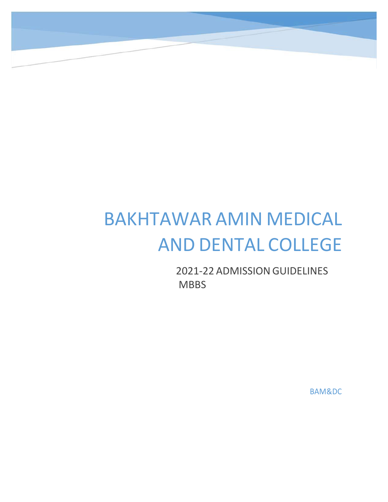# BAKHTAWAR AMIN MEDICAL AND DENTAL COLLEGE

2021‐22 ADMISSION GUIDELINES **MBBS** 

BAM&DC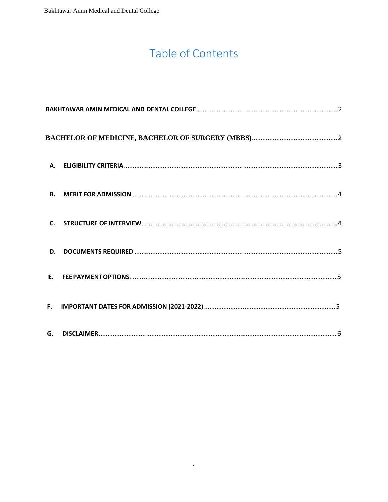## Table of Contents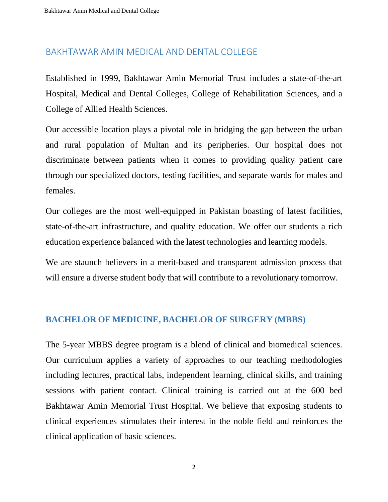#### BAKHTAWAR AMIN MEDICAL AND DENTAL COLLEGE

Established in 1999, Bakhtawar Amin Memorial Trust includes a state-of-the-art Hospital, Medical and Dental Colleges, College of Rehabilitation Sciences, and a College of Allied Health Sciences.

Our accessible location plays a pivotal role in bridging the gap between the urban and rural population of Multan and its peripheries. Our hospital does not discriminate between patients when it comes to providing quality patient care through our specialized doctors, testing facilities, and separate wards for males and females.

Our colleges are the most well-equipped in Pakistan boasting of latest facilities, state-of-the-art infrastructure, and quality education. We offer our students a rich education experience balanced with the latest technologies and learning models.

We are staunch believers in a merit-based and transparent admission process that will ensure a diverse student body that will contribute to a revolutionary tomorrow.

#### **BACHELOR OF MEDICINE, BACHELOR OF SURGERY (MBBS)**

The 5-year MBBS degree program is a blend of clinical and biomedical sciences. Our curriculum applies a variety of approaches to our teaching methodologies including lectures, practical labs, independent learning, clinical skills, and training sessions with patient contact. Clinical training is carried out at the 600 bed Bakhtawar Amin Memorial Trust Hospital. We believe that exposing students to clinical experiences stimulates their interest in the noble field and reinforces the clinical application of basic sciences.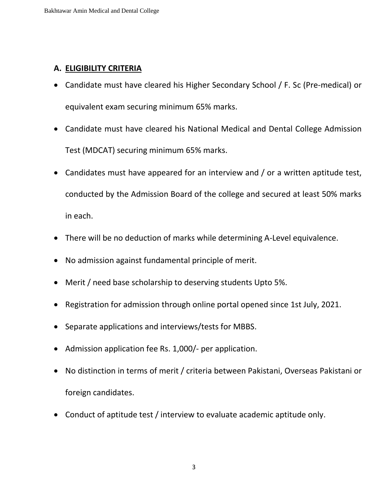#### **A. ELIGIBILITY CRITERIA**

- Candidate must have cleared his Higher Secondary School / F. Sc (Pre-medical) or equivalent exam securing minimum 65% marks.
- Candidate must have cleared his National Medical and Dental College Admission Test (MDCAT) securing minimum 65% marks.
- Candidates must have appeared for an interview and / or a written aptitude test, conducted by the Admission Board of the college and secured at least 50% marks in each.
- There will be no deduction of marks while determining A-Level equivalence.
- No admission against fundamental principle of merit.
- Merit / need base scholarship to deserving students Upto 5%.
- Registration for admission through online portal opened since 1st July, 2021.
- Separate applications and interviews/tests for MBBS.
- Admission application fee Rs. 1,000/- per application.
- No distinction in terms of merit / criteria between Pakistani, Overseas Pakistani or foreign candidates.
- Conduct of aptitude test / interview to evaluate academic aptitude only.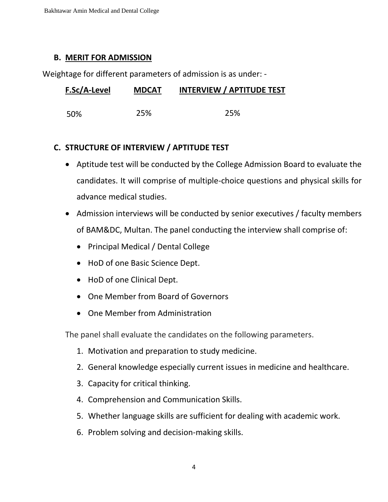Bakhtawar Amin Medical and Dental College

#### **B. MERIT FOR ADMISSION**

Weightage for different parameters of admission is as under: -

| F.Sc/A-Level | <b>MDCAT</b> | <b>INTERVIEW / APTITUDE TEST</b> |
|--------------|--------------|----------------------------------|
| -50%         | 25%          | 25%                              |

#### **C. STRUCTURE OF INTERVIEW / APTITUDE TEST**

- Aptitude test will be conducted by the College Admission Board to evaluate the candidates. It will comprise of multiple-choice questions and physical skills for advance medical studies.
- Admission interviews will be conducted by senior executives / faculty members of BAM&DC, Multan. The panel conducting the interview shall comprise of:
	- Principal Medical / Dental College
	- HoD of one Basic Science Dept.
	- HoD of one Clinical Dept.
	- One Member from Board of Governors
	- One Member from Administration

The panel shall evaluate the candidates on the following parameters.

- 1. Motivation and preparation to study medicine.
- 2. General knowledge especially current issues in medicine and healthcare.
- 3. Capacity for critical thinking.
- 4. Comprehension and Communication Skills.
- 5. Whether language skills are sufficient for dealing with academic work.
- 6. Problem solving and decision-making skills.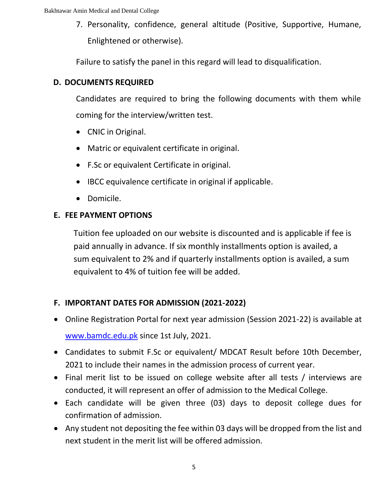7. Personality, confidence, general altitude (Positive, Supportive, Humane, Enlightened or otherwise).

Failure to satisfy the panel in this regard will lead to disqualification.

#### **D. DOCUMENTS REQUIRED**

Candidates are required to bring the following documents with them while coming for the interview/written test.

- CNIC in Original.
- Matric or equivalent certificate in original.
- F.Sc or equivalent Certificate in original.
- IBCC equivalence certificate in original if applicable.
- Domicile.

#### **E. FEE PAYMENT OPTIONS**

Tuition fee uploaded on our website is discounted and is applicable if fee is paid annually in advance. If six monthly installments option is availed, a sum equivalent to 2% and if quarterly installments option is availed, a sum [equivalent to 4% o](http://www.bamdc.edu.pk/)f tuition fee will be added.

### **F. IMPORTANT DATES FOR ADMISSION (2021-2022)**

- Online Registration Portal for next year admission (Session 2021-22) is available at www.bamdc.edu.pk since 1st July, 2021.
- Candidates to submit F.Sc or equivalent/ MDCAT Result before 10th December, 2021 to include their names in the admission process of current year.
- Final merit list to be issued on college website after all tests / interviews are conducted, it will represent an offer of admission to the Medical College.
- Each candidate will be given three (03) days to deposit college dues for confirmation of admission.
- Any student not depositing the fee within 03 days will be dropped from the list and next student in the merit list will be offered admission.